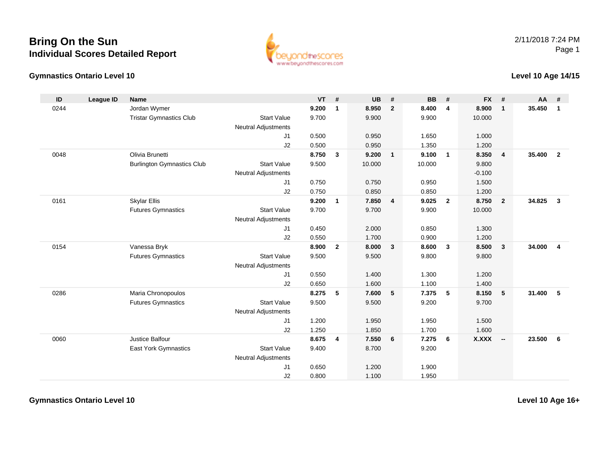## **Bring On the SunIndividual Scores Detailed Report**





## **Level 10 Age 14/15**

| ID   | League ID | <b>Name</b>                       |                            | $VT$ # |                | <b>UB</b> | #              | <b>BB</b> | #              | <b>FX</b> | #                       | AA     | #              |
|------|-----------|-----------------------------------|----------------------------|--------|----------------|-----------|----------------|-----------|----------------|-----------|-------------------------|--------|----------------|
| 0244 |           | Jordan Wymer                      |                            | 9.200  | $\mathbf{1}$   | 8.950     | $\overline{2}$ | 8.400     | 4              | 8.900     | $\mathbf{1}$            | 35.450 | $\overline{1}$ |
|      |           | <b>Tristar Gymnastics Club</b>    | <b>Start Value</b>         | 9.700  |                | 9.900     |                | 9.900     |                | 10.000    |                         |        |                |
|      |           |                                   | <b>Neutral Adjustments</b> |        |                |           |                |           |                |           |                         |        |                |
|      |           |                                   | J1                         | 0.500  |                | 0.950     |                | 1.650     |                | 1.000     |                         |        |                |
|      |           |                                   | J2                         | 0.500  |                | 0.950     |                | 1.350     |                | 1.200     |                         |        |                |
| 0048 |           | Olivia Brunetti                   |                            | 8.750  | $\mathbf{3}$   | 9.200     | $\mathbf{1}$   | 9.100     | $\overline{1}$ | 8.350     | $\overline{4}$          | 35.400 | $\overline{2}$ |
|      |           | <b>Burlington Gymnastics Club</b> | <b>Start Value</b>         | 9.500  |                | 10.000    |                | 10.000    |                | 9.800     |                         |        |                |
|      |           |                                   | <b>Neutral Adjustments</b> |        |                |           |                |           |                | $-0.100$  |                         |        |                |
|      |           |                                   | J1                         | 0.750  |                | 0.750     |                | 0.950     |                | 1.500     |                         |        |                |
|      |           |                                   | J2                         | 0.750  |                | 0.850     |                | 0.850     |                | 1.200     |                         |        |                |
| 0161 |           | <b>Skylar Ellis</b>               |                            | 9.200  | $\mathbf{1}$   | 7.850     | 4              | 9.025     | $\overline{2}$ | 8.750     | $\overline{2}$          | 34.825 | $\mathbf{3}$   |
|      |           | <b>Futures Gymnastics</b>         | <b>Start Value</b>         | 9.700  |                | 9.700     |                | 9.900     |                | 10.000    |                         |        |                |
|      |           |                                   | <b>Neutral Adjustments</b> |        |                |           |                |           |                |           |                         |        |                |
|      |           |                                   | J1                         | 0.450  |                | 2.000     |                | 0.850     |                | 1.300     |                         |        |                |
|      |           |                                   | J2                         | 0.550  |                | 1.700     |                | 0.900     |                | 1.200     |                         |        |                |
| 0154 |           | Vanessa Bryk                      |                            | 8.900  | $\overline{2}$ | 8.000     | $\mathbf{3}$   | 8.600     | $\mathbf{3}$   | 8.500     | $\overline{\mathbf{3}}$ | 34.000 | $\overline{4}$ |
|      |           | <b>Futures Gymnastics</b>         | <b>Start Value</b>         | 9.500  |                | 9.500     |                | 9.800     |                | 9.800     |                         |        |                |
|      |           |                                   | <b>Neutral Adjustments</b> |        |                |           |                |           |                |           |                         |        |                |
|      |           |                                   | J1                         | 0.550  |                | 1.400     |                | 1.300     |                | 1.200     |                         |        |                |
|      |           |                                   | J2                         | 0.650  |                | 1.600     |                | 1.100     |                | 1.400     |                         |        |                |
| 0286 |           | Maria Chronopoulos                |                            | 8.275  | 5              | 7.600     | 5              | 7.375     | 5              | 8.150     | 5                       | 31,400 | 5              |
|      |           | <b>Futures Gymnastics</b>         | <b>Start Value</b>         | 9.500  |                | 9.500     |                | 9.200     |                | 9.700     |                         |        |                |
|      |           |                                   | <b>Neutral Adjustments</b> |        |                |           |                |           |                |           |                         |        |                |
|      |           |                                   | J1                         | 1.200  |                | 1.950     |                | 1.950     |                | 1.500     |                         |        |                |
|      |           |                                   | J2                         | 1.250  |                | 1.850     |                | 1.700     |                | 1.600     |                         |        |                |
| 0060 |           | Justice Balfour                   |                            | 8.675  | 4              | 7.550     | 6              | 7.275     | 6              | X.XXX     | $\sim$                  | 23.500 | 6              |
|      |           | <b>East York Gymnastics</b>       | <b>Start Value</b>         | 9.400  |                | 8.700     |                | 9.200     |                |           |                         |        |                |
|      |           |                                   | <b>Neutral Adjustments</b> |        |                |           |                |           |                |           |                         |        |                |
|      |           |                                   | J1                         | 0.650  |                | 1.200     |                | 1.900     |                |           |                         |        |                |
|      |           |                                   | J2                         | 0.800  |                | 1.100     |                | 1.950     |                |           |                         |        |                |

**Gymnastics Ontario Level 10**

**Level 10 Age 16+**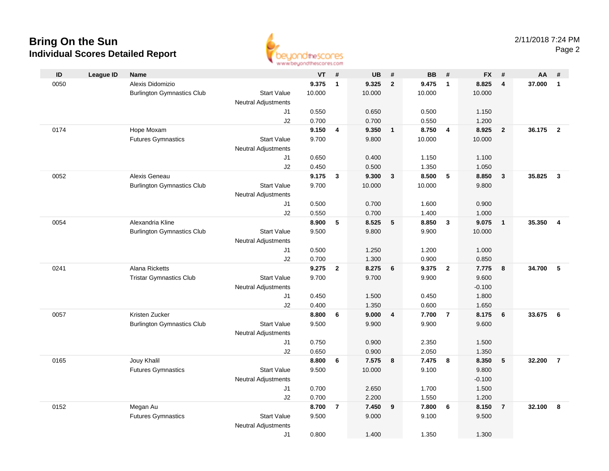## **Bring On the Sun Individual Scores Detailed Report**



| ID   | <b>League ID</b> | <b>Name</b>                       |                            | VT             | #              | <b>UB</b>      | #              | <b>BB</b>      | #                       | <b>FX</b>      | #                       | AA     | #                       |
|------|------------------|-----------------------------------|----------------------------|----------------|----------------|----------------|----------------|----------------|-------------------------|----------------|-------------------------|--------|-------------------------|
| 0050 |                  | Alexis Didomizio                  |                            | 9.375          | $\mathbf{1}$   | 9.325          | $\overline{2}$ | 9.475          | $\overline{1}$          | 8.825          | $\overline{\mathbf{4}}$ | 37.000 | $\overline{1}$          |
|      |                  | <b>Burlington Gymnastics Club</b> | <b>Start Value</b>         | 10.000         |                | 10.000         |                | 10.000         |                         | 10.000         |                         |        |                         |
|      |                  |                                   | <b>Neutral Adjustments</b> |                |                |                |                |                |                         |                |                         |        |                         |
|      |                  |                                   | J1                         | 0.550          |                | 0.650          |                | 0.500          |                         | 1.150          |                         |        |                         |
|      |                  |                                   | J2                         | 0.700          |                | 0.700          |                | 0.550          |                         | 1.200          |                         |        |                         |
| 0174 |                  | Hope Moxam                        |                            | 9.150          | 4              | 9.350          | $\overline{1}$ | 8.750          | $\overline{4}$          | 8.925          | $\overline{\mathbf{2}}$ | 36.175 | $\overline{2}$          |
|      |                  | <b>Futures Gymnastics</b>         | <b>Start Value</b>         | 9.700          |                | 9.800          |                | 10.000         |                         | 10.000         |                         |        |                         |
|      |                  |                                   | <b>Neutral Adjustments</b> |                |                |                |                |                |                         |                |                         |        |                         |
|      |                  |                                   | J1                         | 0.650          |                | 0.400          |                | 1.150          |                         | 1.100          |                         |        |                         |
|      |                  |                                   | J2                         | 0.450          |                | 0.500          |                | 1.350          |                         | 1.050          |                         |        |                         |
| 0052 |                  | Alexis Geneau                     |                            | 9.175          | 3              | 9.300          | 3              | 8.500          | 5                       | 8.850          | $\mathbf{3}$            | 35.825 | $\overline{\mathbf{3}}$ |
|      |                  | <b>Burlington Gymnastics Club</b> | <b>Start Value</b>         | 9.700          |                | 10.000         |                | 10.000         |                         | 9.800          |                         |        |                         |
|      |                  |                                   | Neutral Adjustments        |                |                |                |                |                |                         |                |                         |        |                         |
|      |                  |                                   | J1                         | 0.500          |                | 0.700          |                | 1.600          |                         | 0.900          |                         |        |                         |
| 0054 |                  | Alexandria Kline                  | J2                         | 0.550<br>8.900 | 5              | 0.700<br>8.525 | 5              | 1.400<br>8.850 | $\overline{\mathbf{3}}$ | 1.000<br>9.075 | $\overline{1}$          | 35.350 | $\overline{4}$          |
|      |                  | <b>Burlington Gymnastics Club</b> | <b>Start Value</b>         | 9.500          |                | 9.800          |                | 9.900          |                         | 10.000         |                         |        |                         |
|      |                  |                                   | <b>Neutral Adjustments</b> |                |                |                |                |                |                         |                |                         |        |                         |
|      |                  |                                   | J1                         | 0.500          |                | 1.250          |                | 1.200          |                         | 1.000          |                         |        |                         |
|      |                  |                                   | J2                         | 0.700          |                | 1.300          |                | 0.900          |                         | 0.850          |                         |        |                         |
| 0241 |                  | Alana Ricketts                    |                            | 9.275          | $\mathbf{2}$   | 8.275          | 6              | 9.375          | $\overline{2}$          | 7.775          | 8                       | 34.700 | -5                      |
|      |                  | <b>Tristar Gymnastics Club</b>    | <b>Start Value</b>         | 9.700          |                | 9.700          |                | 9.900          |                         | 9.600          |                         |        |                         |
|      |                  |                                   | <b>Neutral Adjustments</b> |                |                |                |                |                |                         | $-0.100$       |                         |        |                         |
|      |                  |                                   | J1                         | 0.450          |                | 1.500          |                | 0.450          |                         | 1.800          |                         |        |                         |
|      |                  |                                   | J2                         | 0.400          |                | 1.350          |                | 0.600          |                         | 1.650          |                         |        |                         |
| 0057 |                  | Kristen Zucker                    |                            | 8.800          | 6              | 9.000          | 4              | 7.700          | $\overline{7}$          | 8.175          | 6                       | 33.675 | 6                       |
|      |                  | <b>Burlington Gymnastics Club</b> | <b>Start Value</b>         | 9.500          |                | 9.900          |                | 9.900          |                         | 9.600          |                         |        |                         |
|      |                  |                                   | Neutral Adjustments        |                |                |                |                |                |                         |                |                         |        |                         |
|      |                  |                                   | J1                         | 0.750          |                | 0.900          |                | 2.350          |                         | 1.500          |                         |        |                         |
|      |                  |                                   | J2                         | 0.650          |                | 0.900          |                | 2.050          |                         | 1.350          |                         |        |                         |
| 0165 |                  | Jouy Khalil                       |                            | 8.800          | 6              | 7.575          | 8              | 7.475          | 8                       | 8.350          | $5\phantom{.0}$         | 32.200 | $\overline{7}$          |
|      |                  | <b>Futures Gymnastics</b>         | <b>Start Value</b>         | 9.500          |                | 10.000         |                | 9.100          |                         | 9.800          |                         |        |                         |
|      |                  |                                   | <b>Neutral Adjustments</b> |                |                |                |                |                |                         | $-0.100$       |                         |        |                         |
|      |                  |                                   | J1                         | 0.700          |                | 2.650          |                | 1.700          |                         | 1.500          |                         |        |                         |
|      |                  |                                   | J2                         | 0.700          |                | 2.200          |                | 1.550          |                         | 1.200          |                         |        |                         |
| 0152 |                  | Megan Au                          |                            | 8.700          | $\overline{7}$ | 7.450          | 9              | 7.800          | 6                       | 8.150          | $\overline{7}$          | 32.100 | 8                       |
|      |                  | <b>Futures Gymnastics</b>         | <b>Start Value</b>         | 9.500          |                | 9.000          |                | 9.100          |                         | 9.500          |                         |        |                         |
|      |                  |                                   | <b>Neutral Adjustments</b> |                |                |                |                |                |                         |                |                         |        |                         |
|      |                  |                                   | J <sub>1</sub>             | 0.800          |                | 1.400          |                | 1.350          |                         | 1.300          |                         |        |                         |